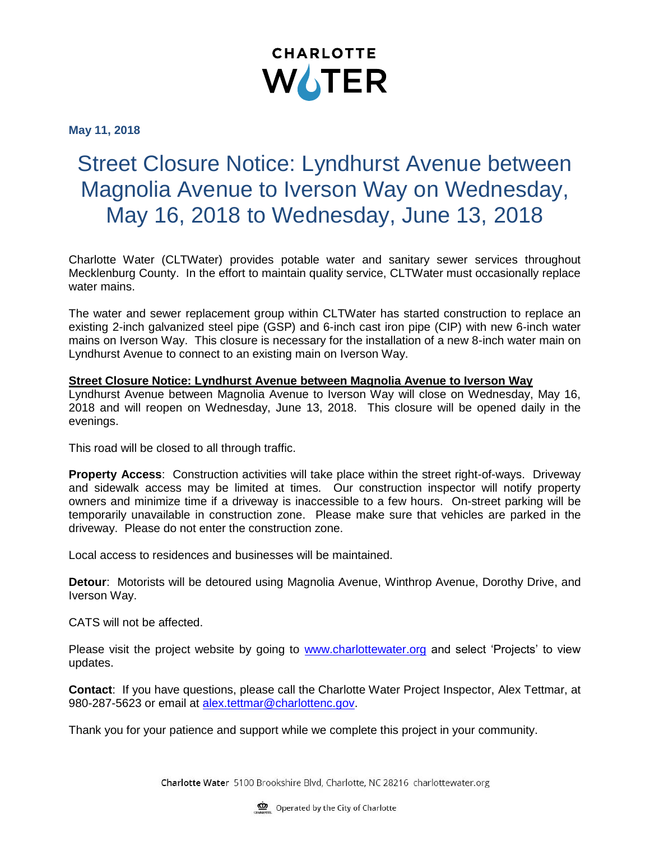

**May 11, 2018**

## Street Closure Notice: Lyndhurst Avenue between Magnolia Avenue to Iverson Way on Wednesday, May 16, 2018 to Wednesday, June 13, 2018

Charlotte Water (CLTWater) provides potable water and sanitary sewer services throughout Mecklenburg County. In the effort to maintain quality service, CLTWater must occasionally replace water mains.

The water and sewer replacement group within CLTWater has started construction to replace an existing 2-inch galvanized steel pipe (GSP) and 6-inch cast iron pipe (CIP) with new 6-inch water mains on Iverson Way. This closure is necessary for the installation of a new 8-inch water main on Lyndhurst Avenue to connect to an existing main on Iverson Way.

## **Street Closure Notice: Lyndhurst Avenue between Magnolia Avenue to Iverson Way**

Lyndhurst Avenue between Magnolia Avenue to Iverson Way will close on Wednesday, May 16, 2018 and will reopen on Wednesday, June 13, 2018. This closure will be opened daily in the evenings.

This road will be closed to all through traffic.

**Property Access**: Construction activities will take place within the street right-of-ways. Driveway and sidewalk access may be limited at times. Our construction inspector will notify property owners and minimize time if a driveway is inaccessible to a few hours. On-street parking will be temporarily unavailable in construction zone. Please make sure that vehicles are parked in the driveway. Please do not enter the construction zone.

Local access to residences and businesses will be maintained.

**Detour**: Motorists will be detoured using Magnolia Avenue, Winthrop Avenue, Dorothy Drive, and Iverson Way.

CATS will not be affected.

Please visit the project website by going to [www.charlottewater.org](http://www.charlottewater.org/) and select 'Projects' to view updates.

**Contact**: If you have questions, please call the Charlotte Water Project Inspector, Alex Tettmar, at 980-287-5623 or email at [alex.tettmar@charlottenc.gov.](mailto:alex.tettmar@charlottenc.gov)

Thank you for your patience and support while we complete this project in your community.

Charlotte Water 5100 Brookshire Blvd, Charlotte, NC 28216 charlottewater.org